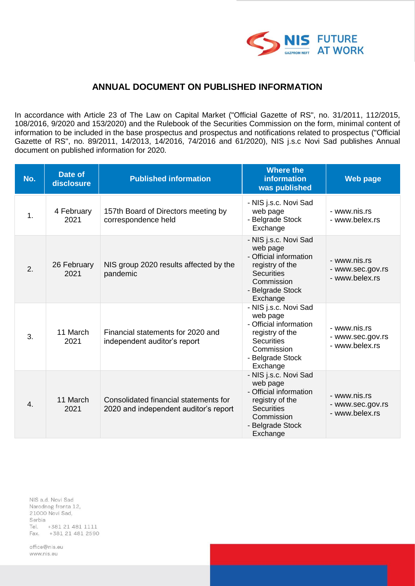

## **ANNUAL DOCUMENT ON PUBLISHED INFORMATION**

In accordance with Article 23 of The Law on Capital Market ("Official Gazette of RS", no. 31/2011, 112/2015, 108/2016, 9/2020 and 153/2020) and the Rulebook of the Securities Commission on the form, minimal content of information to be included in the base prospectus and prospectus and notifications related to prospectus ("Official Gazette of RS", no. 89/2011, 14/2013, 14/2016, 74/2016 and 61/2020), NIS j.s.c Novi Sad publishes Annual document on published information for 2020.

| No. | Date of<br>disclosure | <b>Published information</b>                                                   | <b>Where the</b><br><b>information</b><br>was published                                                                                           | <b>Web page</b>                                    |
|-----|-----------------------|--------------------------------------------------------------------------------|---------------------------------------------------------------------------------------------------------------------------------------------------|----------------------------------------------------|
| 1.  | 4 February<br>2021    | 157th Board of Directors meeting by<br>correspondence held                     | - NIS j.s.c. Novi Sad<br>web page<br>- Belgrade Stock<br>Exchange                                                                                 | - www.nis.rs<br>- www.belex.rs                     |
| 2.  | 26 February<br>2021   | NIS group 2020 results affected by the<br>pandemic                             | - NIS j.s.c. Novi Sad<br>web page<br>- Official information<br>registry of the<br><b>Securities</b><br>Commission<br>- Belgrade Stock<br>Exchange | - www.nis.rs<br>- www.sec.gov.rs<br>- www.belex.rs |
| 3.  | 11 March<br>2021      | Financial statements for 2020 and<br>independent auditor's report              | - NIS j.s.c. Novi Sad<br>web page<br>- Official information<br>registry of the<br><b>Securities</b><br>Commission<br>- Belgrade Stock<br>Exchange | - www.nis.rs<br>- www.sec.gov.rs<br>- www.belex.rs |
| 4.  | 11 March<br>2021      | Consolidated financial statements for<br>2020 and independent auditor's report | - NIS j.s.c. Novi Sad<br>web page<br>- Official information<br>registry of the<br><b>Securities</b><br>Commission<br>- Belgrade Stock<br>Exchange | - www.nis.rs<br>- www.sec.gov.rs<br>- www.belex.rs |

NIS a.d. Novi Sad Narodnog fronta 12, 21000 Novi Sad, Serbia Tel. +381 21 481 1111 Fax. +381 21 481 2590

office@nis.eu www.nis.eu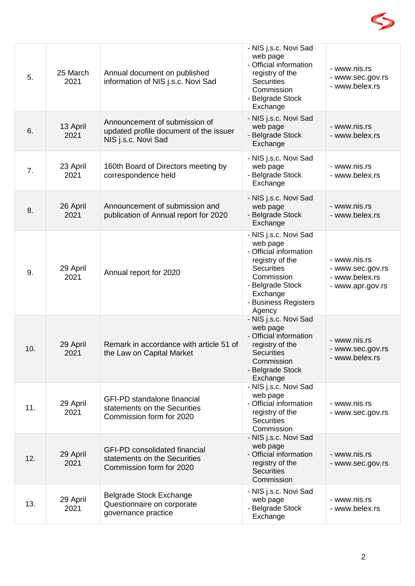

| 5.  | 25 March<br>2021 | Annual document on published<br>information of NIS j.s.c. Novi Sad                               | - NIS j.s.c. Novi Sad<br>web page<br>- Official information<br>registry of the<br><b>Securities</b><br>Commission<br>- Belgrade Stock<br>Exchange                                   | - www.nis.rs<br>- www.sec.gov.rs<br>- www.belex.rs                     |
|-----|------------------|--------------------------------------------------------------------------------------------------|-------------------------------------------------------------------------------------------------------------------------------------------------------------------------------------|------------------------------------------------------------------------|
| 6.  | 13 April<br>2021 | Announcement of submission of<br>updated profile document of the issuer<br>NIS j.s.c. Novi Sad   | - NIS j.s.c. Novi Sad<br>web page<br>- Belgrade Stock<br>Exchange                                                                                                                   | - www.nis.rs<br>- www.belex.rs                                         |
| 7.  | 23 April<br>2021 | 160th Board of Directors meeting by<br>correspondence held                                       | - NIS j.s.c. Novi Sad<br>web page<br>- Belgrade Stock<br>Exchange                                                                                                                   | - www.nis.rs<br>- www.belex.rs                                         |
| 8.  | 26 April<br>2021 | Announcement of submission and<br>publication of Annual report for 2020                          | - NIS j.s.c. Novi Sad<br>web page<br>- Belgrade Stock<br>Exchange                                                                                                                   | - www.nis.rs<br>- www.belex.rs                                         |
| 9.  | 29 April<br>2021 | Annual report for 2020                                                                           | - NIS j.s.c. Novi Sad<br>web page<br>- Official information<br>registry of the<br><b>Securities</b><br>Commission<br>- Belgrade Stock<br>Exchange<br>- Business Registers<br>Agency | - www.nis.rs<br>- www.sec.gov.rs<br>- www.belex.rs<br>- www.apr.gov.rs |
| 10. | 29 April<br>2021 | Remark in accordance with article 51 of<br>the Law on Capital Market                             | - NIS j.s.c. Novi Sad<br>web page<br>- Official information<br>registry of the<br><b>Securities</b><br>Commission<br>- Belgrade Stock<br>Exchange                                   | - www.nis.rs<br>- www.sec.gov.rs<br>- www.belex.rs                     |
| 11. | 29 April<br>2021 | <b>GFI-PD standalone financial</b><br>statements on the Securities<br>Commission form for 2020   | - NIS j.s.c. Novi Sad<br>web page<br>- Official information<br>registry of the<br><b>Securities</b><br>Commission                                                                   | - www.nis.rs<br>- www.sec.gov.rs                                       |
| 12. | 29 April<br>2021 | <b>GFI-PD consolidated financial</b><br>statements on the Securities<br>Commission form for 2020 | - NIS j.s.c. Novi Sad<br>web page<br>- Official information<br>registry of the<br><b>Securities</b><br>Commission                                                                   | - www.nis.rs<br>- www.sec.gov.rs                                       |
| 13. | 29 April<br>2021 | <b>Belgrade Stock Exchange</b><br>Questionnaire on corporate<br>governance practice              | - NIS j.s.c. Novi Sad<br>web page<br>- Belgrade Stock<br>Exchange                                                                                                                   | - www.nis.rs<br>- www.belex.rs                                         |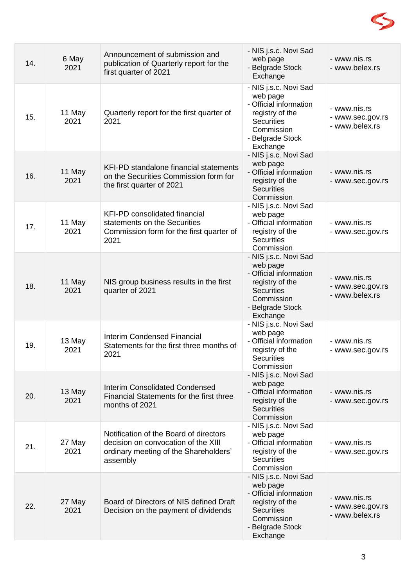

| 14. | 6 May<br>2021  | Announcement of submission and<br>publication of Quarterly report for the<br>first quarter of 2021                                 | - NIS j.s.c. Novi Sad<br>web page<br>- Belgrade Stock<br>Exchange                                                                                 | - www.nis.rs<br>- www.belex.rs                     |
|-----|----------------|------------------------------------------------------------------------------------------------------------------------------------|---------------------------------------------------------------------------------------------------------------------------------------------------|----------------------------------------------------|
| 15. | 11 May<br>2021 | Quarterly report for the first quarter of<br>2021                                                                                  | - NIS j.s.c. Novi Sad<br>web page<br>- Official information<br>registry of the<br><b>Securities</b><br>Commission<br>- Belgrade Stock<br>Exchange | - www.nis.rs<br>- www.sec.gov.rs<br>- www.belex.rs |
| 16. | 11 May<br>2021 | KFI-PD standalone financial statements<br>on the Securities Commission form for<br>the first quarter of 2021                       | - NIS j.s.c. Novi Sad<br>web page<br>- Official information<br>registry of the<br><b>Securities</b><br>Commission                                 | - www.nis.rs<br>- www.sec.gov.rs                   |
| 17. | 11 May<br>2021 | <b>KFI-PD consolidated financial</b><br>statements on the Securities<br>Commission form for the first quarter of<br>2021           | - NIS j.s.c. Novi Sad<br>web page<br>- Official information<br>registry of the<br><b>Securities</b><br>Commission                                 | - www.nis.rs<br>- www.sec.gov.rs                   |
| 18. | 11 May<br>2021 | NIS group business results in the first<br>quarter of 2021                                                                         | - NIS j.s.c. Novi Sad<br>web page<br>- Official information<br>registry of the<br><b>Securities</b><br>Commission<br>- Belgrade Stock<br>Exchange | - www.nis.rs<br>- www.sec.gov.rs<br>- www.belex.rs |
| 19. | 13 May<br>2021 | <b>Interim Condensed Financial</b><br>Statements for the first three months of<br>2021                                             | - NIS j.s.c. Novi Sad<br>web page<br>- Official information<br>registry of the<br>Securities<br>Commission                                        | - www.nis.rs<br>- www.sec.gov.rs                   |
| 20. | 13 May<br>2021 | <b>Interim Consolidated Condensed</b><br>Financial Statements for the first three<br>months of 2021                                | - NIS j.s.c. Novi Sad<br>web page<br>- Official information<br>registry of the<br><b>Securities</b><br>Commission                                 | - www.nis.rs<br>- www.sec.gov.rs                   |
| 21. | 27 May<br>2021 | Notification of the Board of directors<br>decision on convocation of the XIII<br>ordinary meeting of the Shareholders'<br>assembly | - NIS j.s.c. Novi Sad<br>web page<br>- Official information<br>registry of the<br><b>Securities</b><br>Commission                                 | - www.nis.rs<br>- www.sec.gov.rs                   |
| 22. | 27 May<br>2021 | Board of Directors of NIS defined Draft<br>Decision on the payment of dividends                                                    | - NIS j.s.c. Novi Sad<br>web page<br>- Official information<br>registry of the<br><b>Securities</b><br>Commission<br>- Belgrade Stock<br>Exchange | - www.nis.rs<br>- www.sec.gov.rs<br>- www.belex.rs |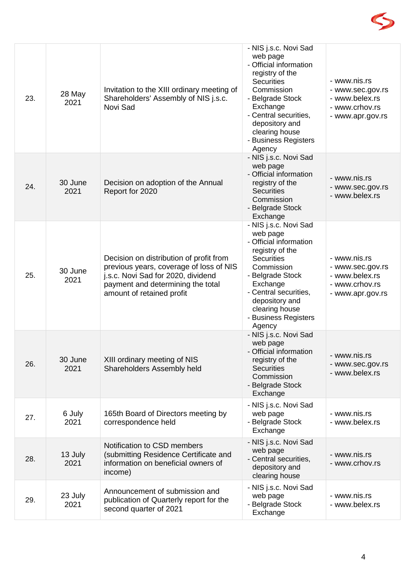

| 23. | 28 May<br>2021  | Invitation to the XIII ordinary meeting of<br>Shareholders' Assembly of NIS j.s.c.<br>Novi Sad                                                                                             | - NIS j.s.c. Novi Sad<br>web page<br>- Official information<br>registry of the<br><b>Securities</b><br>Commission<br>- Belgrade Stock<br>Exchange<br>- Central securities,<br>depository and<br>clearing house<br>- Business Registers<br>Agency | - www.nis.rs<br>- www.sec.gov.rs<br>- www.belex.rs<br>- www.crhov.rs<br>- www.apr.gov.rs |
|-----|-----------------|--------------------------------------------------------------------------------------------------------------------------------------------------------------------------------------------|--------------------------------------------------------------------------------------------------------------------------------------------------------------------------------------------------------------------------------------------------|------------------------------------------------------------------------------------------|
| 24. | 30 June<br>2021 | Decision on adoption of the Annual<br>Report for 2020                                                                                                                                      | - NIS j.s.c. Novi Sad<br>web page<br>- Official information<br>registry of the<br><b>Securities</b><br>Commission<br>- Belgrade Stock<br>Exchange                                                                                                | - www.nis.rs<br>- www.sec.gov.rs<br>- www.belex.rs                                       |
| 25. | 30 June<br>2021 | Decision on distribution of profit from<br>previous years, coverage of loss of NIS<br>j.s.c. Novi Sad for 2020, dividend<br>payment and determining the total<br>amount of retained profit | - NIS j.s.c. Novi Sad<br>web page<br>- Official information<br>registry of the<br><b>Securities</b><br>Commission<br>- Belgrade Stock<br>Exchange<br>- Central securities,<br>depository and<br>clearing house<br>- Business Registers<br>Agency | - www.nis.rs<br>- www.sec.gov.rs<br>- www.belex.rs<br>- www.crhov.rs<br>- www.apr.gov.rs |
| 26. | 30 June<br>2021 | XIII ordinary meeting of NIS<br>Shareholders Assembly held                                                                                                                                 | - NIS j.s.c. Novi Sad<br>web page<br>- Official information<br>registry of the<br><b>Securities</b><br>Commission<br>- Belgrade Stock<br>Exchange                                                                                                | - www.nis.rs<br>- www.sec.gov.rs<br>- www.belex.rs                                       |
| 27. | 6 July<br>2021  | 165th Board of Directors meeting by<br>correspondence held                                                                                                                                 | - NIS j.s.c. Novi Sad<br>web page<br>- Belgrade Stock<br>Exchange                                                                                                                                                                                | - www.nis.rs<br>- www.belex.rs                                                           |
| 28. | 13 July<br>2021 | Notification to CSD members<br>(submitting Residence Certificate and<br>information on beneficial owners of<br>income)                                                                     | - NIS j.s.c. Novi Sad<br>web page<br>- Central securities,<br>depository and<br>clearing house                                                                                                                                                   | - www.nis.rs<br>- www.crhov.rs                                                           |
| 29. | 23 July<br>2021 | Announcement of submission and<br>publication of Quarterly report for the<br>second quarter of 2021                                                                                        | - NIS j.s.c. Novi Sad<br>web page<br>- Belgrade Stock<br>Exchange                                                                                                                                                                                | - www.nis.rs<br>- www.belex.rs                                                           |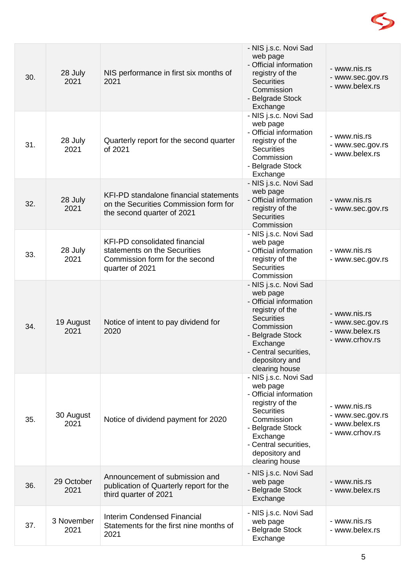

| 30. | 28 July<br>2021    | NIS performance in first six months of<br>2021                                                                            | - NIS j.s.c. Novi Sad<br>web page<br>- Official information<br>registry of the<br><b>Securities</b><br>Commission<br>- Belgrade Stock<br>Exchange                                                              | - www.nis.rs<br>- www.sec.gov.rs<br>- www.belex.rs                   |
|-----|--------------------|---------------------------------------------------------------------------------------------------------------------------|----------------------------------------------------------------------------------------------------------------------------------------------------------------------------------------------------------------|----------------------------------------------------------------------|
| 31. | 28 July<br>2021    | Quarterly report for the second quarter<br>of 2021                                                                        | - NIS j.s.c. Novi Sad<br>web page<br>- Official information<br>registry of the<br><b>Securities</b><br>Commission<br>- Belgrade Stock<br>Exchange                                                              | - www.nis.rs<br>- www.sec.gov.rs<br>- www.belex.rs                   |
| 32. | 28 July<br>2021    | <b>KFI-PD standalone financial statements</b><br>on the Securities Commission form for<br>the second quarter of 2021      | - NIS j.s.c. Novi Sad<br>web page<br>- Official information<br>registry of the<br><b>Securities</b><br>Commission                                                                                              | - www.nis.rs<br>- www.sec.gov.rs                                     |
| 33. | 28 July<br>2021    | <b>KFI-PD consolidated financial</b><br>statements on the Securities<br>Commission form for the second<br>quarter of 2021 | - NIS j.s.c. Novi Sad<br>web page<br>- Official information<br>registry of the<br><b>Securities</b><br>Commission                                                                                              | - www.nis.rs<br>- www.sec.gov.rs                                     |
| 34. | 19 August<br>2021  | Notice of intent to pay dividend for<br>2020                                                                              | - NIS j.s.c. Novi Sad<br>web page<br>- Official information<br>registry of the<br><b>Securities</b><br>Commission<br>- Belgrade Stock<br>Exchange<br>- Central securities,<br>depository and<br>clearing house | - www.nis.rs<br>- www.sec.gov.rs<br>- www.belex.rs<br>- www.crhov.rs |
| 35. | 30 August<br>2021  | Notice of dividend payment for 2020                                                                                       | - NIS j.s.c. Novi Sad<br>web page<br>- Official information<br>registry of the<br><b>Securities</b><br>Commission<br>- Belgrade Stock<br>Exchange<br>- Central securities,<br>depository and<br>clearing house | - www.nis.rs<br>- www.sec.gov.rs<br>- www.belex.rs<br>- www.crhov.rs |
| 36. | 29 October<br>2021 | Announcement of submission and<br>publication of Quarterly report for the<br>third quarter of 2021                        | - NIS j.s.c. Novi Sad<br>web page<br>- Belgrade Stock<br>Exchange                                                                                                                                              | - www.nis.rs<br>- www.belex.rs                                       |
| 37. | 3 November<br>2021 | <b>Interim Condensed Financial</b><br>Statements for the first nine months of<br>2021                                     | - NIS j.s.c. Novi Sad<br>web page<br>- Belgrade Stock<br>Exchange                                                                                                                                              | - www.nis.rs<br>- www.belex.rs                                       |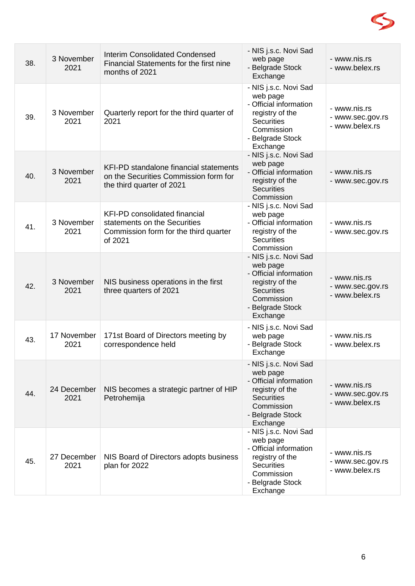

| 38. | 3 November<br>2021  | <b>Interim Consolidated Condensed</b><br>Financial Statements for the first nine<br>months of 2021                       | - NIS j.s.c. Novi Sad<br>web page<br>- Belgrade Stock<br>Exchange                                                                                 | - www.nis.rs<br>- www.belex.rs                     |
|-----|---------------------|--------------------------------------------------------------------------------------------------------------------------|---------------------------------------------------------------------------------------------------------------------------------------------------|----------------------------------------------------|
| 39. | 3 November<br>2021  | Quarterly report for the third quarter of<br>2021                                                                        | - NIS j.s.c. Novi Sad<br>web page<br>- Official information<br>registry of the<br><b>Securities</b><br>Commission<br>- Belgrade Stock<br>Exchange | - www.nis.rs<br>- www.sec.gov.rs<br>- www.belex.rs |
| 40. | 3 November<br>2021  | KFI-PD standalone financial statements<br>on the Securities Commission form for<br>the third quarter of 2021             | - NIS j.s.c. Novi Sad<br>web page<br>- Official information<br>registry of the<br><b>Securities</b><br>Commission                                 | - www.nis.rs<br>- www.sec.gov.rs                   |
| 41. | 3 November<br>2021  | <b>KFI-PD</b> consolidated financial<br>statements on the Securities<br>Commission form for the third quarter<br>of 2021 | - NIS j.s.c. Novi Sad<br>web page<br>- Official information<br>registry of the<br><b>Securities</b><br>Commission                                 | - www.nis.rs<br>- www.sec.gov.rs                   |
| 42. | 3 November<br>2021  | NIS business operations in the first<br>three quarters of 2021                                                           | - NIS j.s.c. Novi Sad<br>web page<br>- Official information<br>registry of the<br><b>Securities</b><br>Commission<br>- Belgrade Stock<br>Exchange | - www.nis.rs<br>- www.sec.gov.rs<br>- www.belex.rs |
| 43. | 17 November<br>2021 | 171st Board of Directors meeting by<br>correspondence held                                                               | - NIS j.s.c. Novi Sad<br>web page<br>- Belgrade Stock<br>Exchange                                                                                 | - www.nis.rs<br>- www.belex.rs                     |
| 44. | 24 December<br>2021 | NIS becomes a strategic partner of HIP<br>Petrohemija                                                                    | - NIS j.s.c. Novi Sad<br>web page<br>- Official information<br>registry of the<br><b>Securities</b><br>Commission<br>- Belgrade Stock<br>Exchange | - www.nis.rs<br>- www.sec.gov.rs<br>- www.belex.rs |
| 45. | 27 December<br>2021 | NIS Board of Directors adopts business<br>plan for 2022                                                                  | - NIS j.s.c. Novi Sad<br>web page<br>- Official information<br>registry of the<br><b>Securities</b><br>Commission<br>- Belgrade Stock<br>Exchange | - www.nis.rs<br>- www.sec.gov.rs<br>- www.belex.rs |